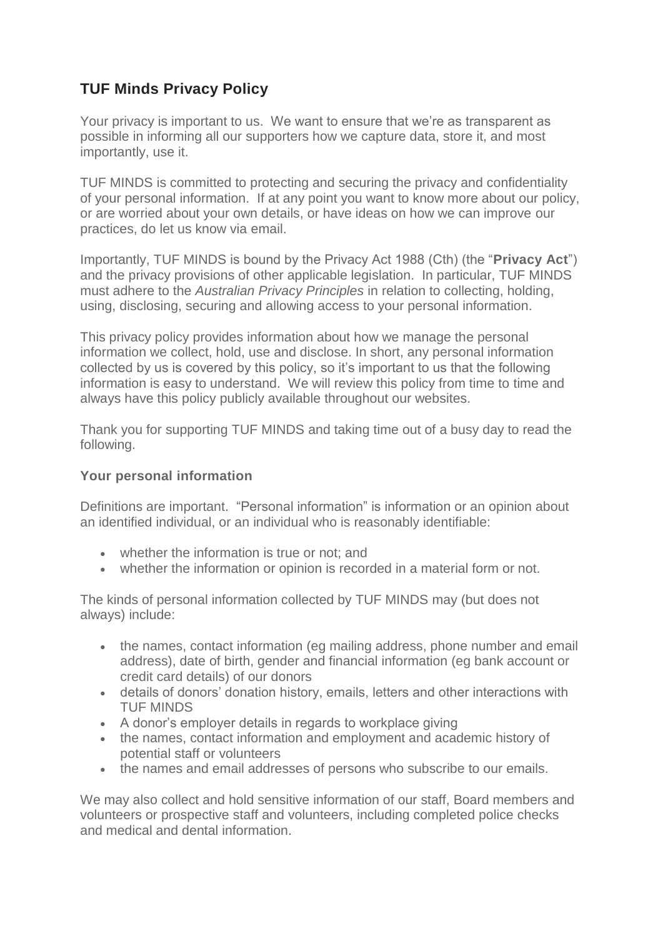# **TUF Minds Privacy Policy**

Your privacy is important to us. We want to ensure that we're as transparent as possible in informing all our supporters how we capture data, store it, and most importantly, use it.

TUF MINDS is committed to protecting and securing the privacy and confidentiality of your personal information. If at any point you want to know more about our policy, or are worried about your own details, or have ideas on how we can improve our practices, do let us know via [email.](mailto:info@care.org.au)

Importantly, TUF MINDS is bound by the Privacy Act 1988 (Cth) (the "**Privacy Act**") and the privacy provisions of other applicable legislation. In particular, TUF MINDS must adhere to the *Australian Privacy Principles* in relation to collecting, holding, using, disclosing, securing and allowing access to your personal information.

This privacy policy provides information about how we manage the personal information we collect, hold, use and disclose. In short, any personal information collected by us is covered by this policy, so it's important to us that the following information is easy to understand. We will review this policy from time to time and always have this policy publicly available throughout our websites.

Thank you for supporting TUF MINDS and taking time out of a busy day to read the following.

### **Your personal information**

Definitions are important. "Personal information" is information or an opinion about an identified individual, or an individual who is reasonably identifiable:

- whether the information is true or not; and
- whether the information or opinion is recorded in a material form or not.

The kinds of personal information collected by TUF MINDS may (but does not always) include:

- the names, contact information (eg mailing address, phone number and email address), date of birth, gender and financial information (eg bank account or credit card details) of our donors
- details of donors' donation history, emails, letters and other interactions with TUF MINDS
- A donor's employer details in regards to workplace giving
- the names, contact information and employment and academic history of potential staff or volunteers
- the names and email addresses of persons who subscribe to our emails.

We may also collect and hold sensitive information of our staff, Board members and volunteers or prospective staff and volunteers, including completed police checks and medical and dental information.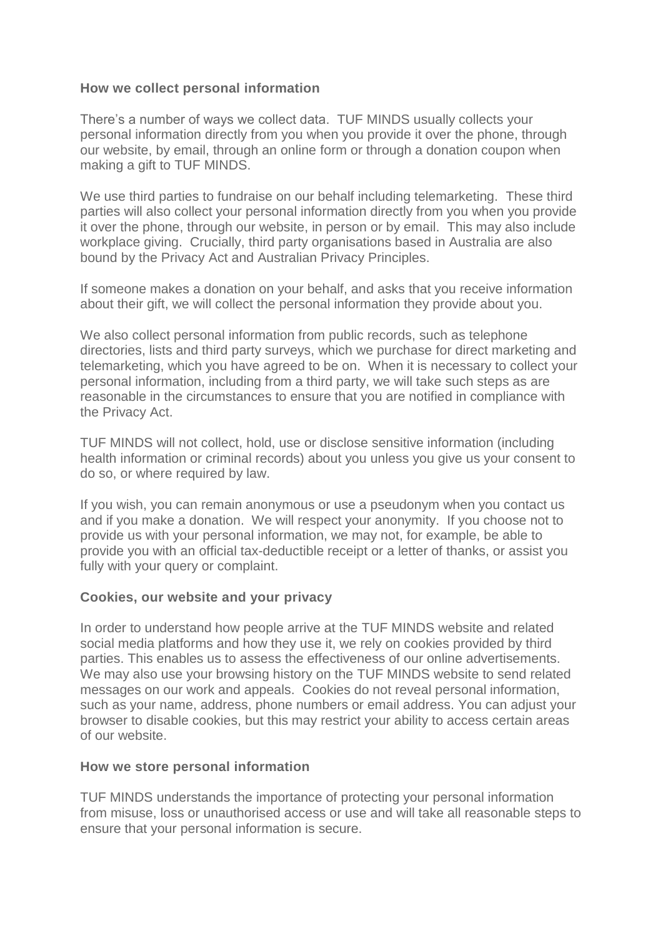### **How we collect personal information**

There's a number of ways we collect data. TUF MINDS usually collects your personal information directly from you when you provide it over the phone, through our website, by email, through an online form or through a donation coupon when making a gift to TUF MINDS.

We use third parties to fundraise on our behalf including telemarketing. These third parties will also collect your personal information directly from you when you provide it over the phone, through our website, in person or by email. This may also include workplace giving. Crucially, third party organisations based in Australia are also bound by the Privacy Act and Australian Privacy Principles.

If someone makes a donation on your behalf, and asks that you receive information about their gift, we will collect the personal information they provide about you.

We also collect personal information from public records, such as telephone directories, lists and third party surveys, which we purchase for direct marketing and telemarketing, which you have agreed to be on. When it is necessary to collect your personal information, including from a third party, we will take such steps as are reasonable in the circumstances to ensure that you are notified in compliance with the Privacy Act.

TUF MINDS will not collect, hold, use or disclose sensitive information (including health information or criminal records) about you unless you give us your consent to do so, or where required by law.

If you wish, you can remain anonymous or use a pseudonym when you contact us and if you make a donation. We will respect your anonymity. If you choose not to provide us with your personal information, we may not, for example, be able to provide you with an official tax-deductible receipt or a letter of thanks, or assist you fully with your query or complaint.

### **Cookies, our website and your privacy**

In order to understand how people arrive at the TUF MINDS website and related social media platforms and how they use it, we rely on cookies provided by third parties. This enables us to assess the effectiveness of our online advertisements. We may also use your browsing history on the TUF MINDS website to send related messages on our work and appeals. Cookies do not reveal personal information, such as your name, address, phone numbers or email address. You can adjust your browser to disable cookies, but this may restrict your ability to access certain areas of our website.

#### **How we store personal information**

TUF MINDS understands the importance of protecting your personal information from misuse, loss or unauthorised access or use and will take all reasonable steps to ensure that your personal information is secure.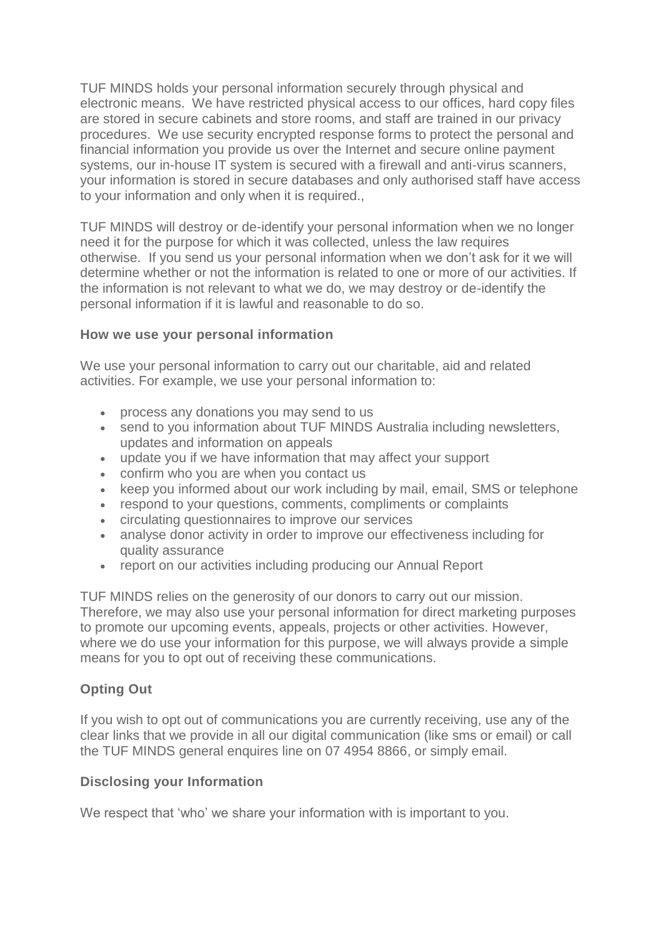TUF MINDS holds your personal information securely through physical and electronic means. We have restricted physical access to our offices, hard copy files are stored in secure cabinets and store rooms, and staff are trained in our privacy procedures. We use security encrypted response forms to protect the personal and financial information you provide us over the Internet and secure online payment systems, our in-house IT system is secured with a firewall and anti-virus scanners, your information is stored in secure databases and only authorised staff have access to your information and only when it is required.,

TUF MINDS will destroy or de-identify your personal information when we no longer need it for the purpose for which it was collected, unless the law requires otherwise. If you send us your personal information when we don't ask for it we will determine whether or not the information is related to one or more of our activities. If the information is not relevant to what we do, we may destroy or de-identify the personal information if it is lawful and reasonable to do so.

### **How we use your personal information**

We use your personal information to carry out our charitable, aid and related activities. For example, we use your personal information to:

- process any donations you may send to us
- send to you information about TUF MINDS Australia including newsletters, updates and information on appeals
- update you if we have information that may affect your support
- confirm who you are when you contact us
- keep you informed about our work including by mail, email, SMS or telephone
- respond to your questions, comments, compliments or complaints
- circulating questionnaires to improve our services
- analyse donor activity in order to improve our effectiveness including for quality assurance
- report on our activities including producing our Annual Report

TUF MINDS relies on the generosity of our donors to carry out our mission. Therefore, we may also use your personal information for direct marketing purposes to promote our upcoming events, appeals, projects or other activities. However, where we do use your information for this purpose, we will always provide a simple means for you to opt out of receiving these communications.

## **Opting Out**

If you wish to opt out of communications you are currently receiving, use any of the clear links that we provide in all our digital communication (like sms or email) or call the TUF MINDS general enquires line on 07 4954 8866, or simply email.

### **Disclosing your Information**

We respect that 'who' we share your information with is important to you.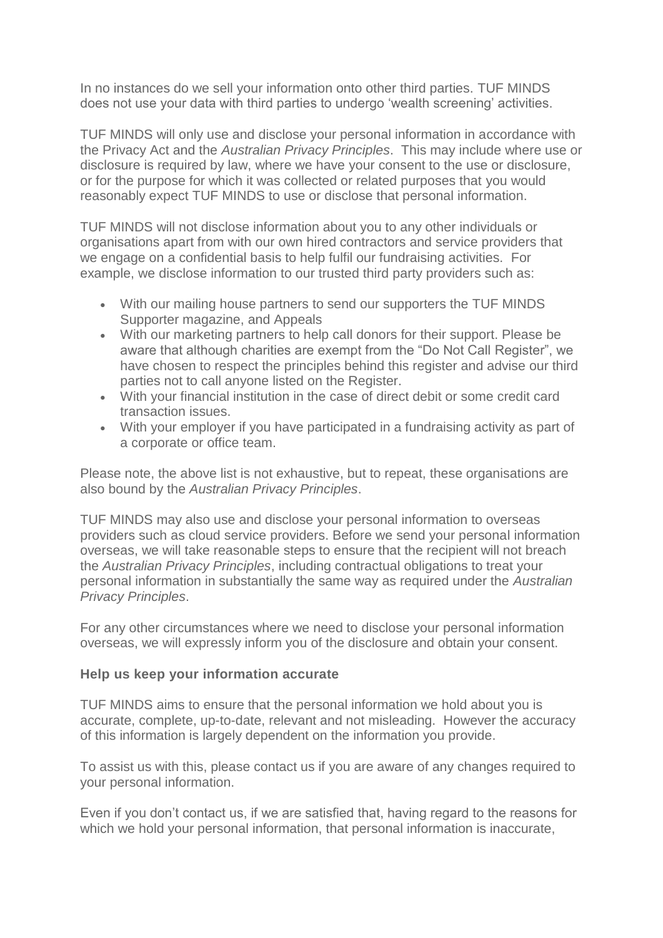In no instances do we sell your information onto other third parties. TUF MINDS does not use your data with third parties to undergo 'wealth screening' activities.

TUF MINDS will only use and disclose your personal information in accordance with the Privacy Act and the *Australian Privacy Principles*. This may include where use or disclosure is required by law, where we have your consent to the use or disclosure, or for the purpose for which it was collected or related purposes that you would reasonably expect TUF MINDS to use or disclose that personal information.

TUF MINDS will not disclose information about you to any other individuals or organisations apart from with our own hired contractors and service providers that we engage on a confidential basis to help fulfil our fundraising activities. For example, we disclose information to our trusted third party providers such as:

- With our mailing house partners to send our supporters the TUF MINDS Supporter magazine, and Appeals
- With our marketing partners to help call donors for their support. Please be aware that although charities are exempt from the "Do Not Call Register", we have chosen to respect the principles behind this register and advise our third parties not to call anyone listed on the Register.
- With your financial institution in the case of direct debit or some credit card transaction issues.
- With your employer if you have participated in a fundraising activity as part of a corporate or office team.

Please note, the above list is not exhaustive, but to repeat, these organisations are also bound by the *Australian Privacy Principles*.

TUF MINDS may also use and disclose your personal information to overseas providers such as cloud service providers. Before we send your personal information overseas, we will take reasonable steps to ensure that the recipient will not breach the *Australian Privacy Principles*, including contractual obligations to treat your personal information in substantially the same way as required under the *Australian Privacy Principles*.

For any other circumstances where we need to disclose your personal information overseas, we will expressly inform you of the disclosure and obtain your consent.

### **Help us keep your information accurate**

TUF MINDS aims to ensure that the personal information we hold about you is accurate, complete, up-to-date, relevant and not misleading. However the accuracy of this information is largely dependent on the information you provide.

To assist us with this, please contact us if you are aware of any changes required to your personal information.

Even if you don't contact us, if we are satisfied that, having regard to the reasons for which we hold your personal information, that personal information is inaccurate,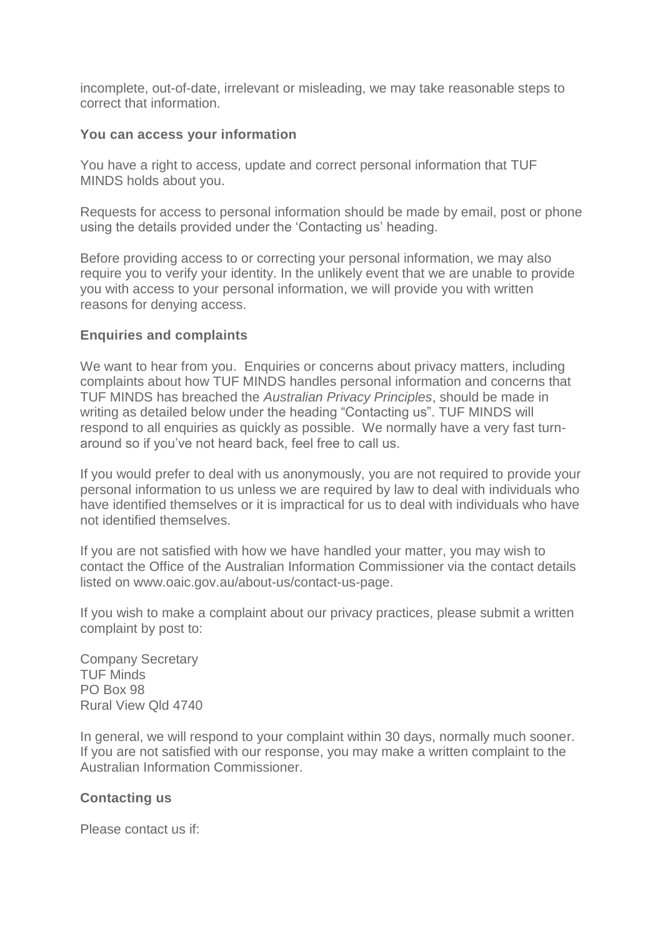incomplete, out-of-date, irrelevant or misleading, we may take reasonable steps to correct that information.

#### **You can access your information**

You have a right to access, update and correct personal information that TUF MINDS holds about you.

Requests for access to personal information should be made by email, post or phone using the details provided under the 'Contacting us' heading.

Before providing access to or correcting your personal information, we may also require you to verify your identity. In the unlikely event that we are unable to provide you with access to your personal information, we will provide you with written reasons for denying access.

### **Enquiries and complaints**

We want to hear from you. Enquiries or concerns about privacy matters, including complaints about how TUF MINDS handles personal information and concerns that TUF MINDS has breached the *Australian Privacy Principles*, should be made in writing as detailed below under the heading "Contacting us". TUF MINDS will respond to all enquiries as quickly as possible. We normally have a very fast turnaround so if you've not heard back, feel free to call us.

If you would prefer to deal with us anonymously, you are not required to provide your personal information to us unless we are required by law to deal with individuals who have identified themselves or it is impractical for us to deal with individuals who have not identified themselves.

If you are not satisfied with how we have handled your matter, you may wish to contact the Office of the Australian Information Commissioner via the contact details listed on www.oaic.gov.au/about-us/contact-us-page.

If you wish to make a complaint about our privacy practices, please submit a written complaint by post to:

Company Secretary TUF Minds PO Box 98 Rural View Qld 4740

In general, we will respond to your complaint within 30 days, normally much sooner. If you are not satisfied with our response, you may make a written complaint to the Australian Information Commissioner.

### **Contacting us**

Please contact us if: